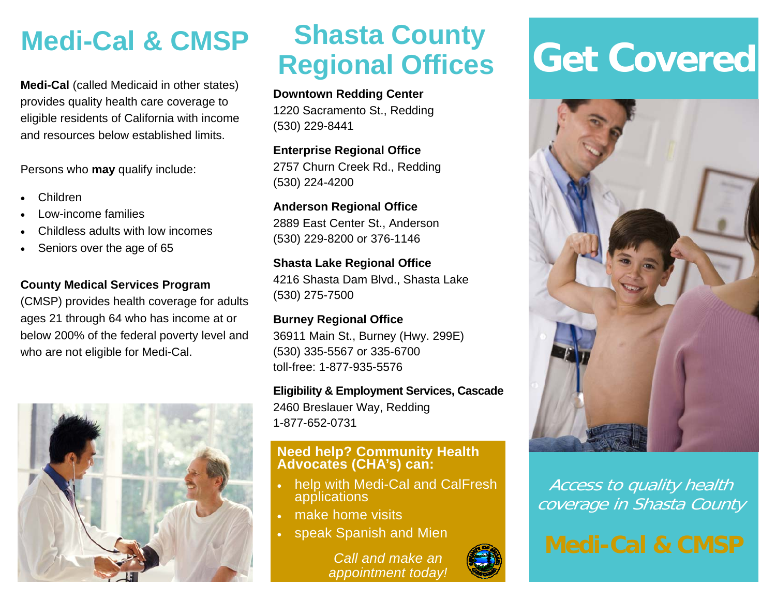# **Medi-Cal & CMSP**

**Medi-Cal** (called Medicaid in other states) provides quality health care coverage to eligible residents of California with income and resources below established limits.

Persons who **may** qualify include:

- $\bullet$ Children
- $\bullet$ Low-income families
- $\bullet$ Childless adults with low incomes
- $\bullet$ Seniors over the age of 65

### **County Medical Services Program**

(CMSP) provides health coverage for adults ages 21 through 64 who has income at or below 200% of the federal poverty level and who are not eligible for Medi-Cal.



# **Shasta County Regional Offices**

### **Downtown Redding Center**

1220 Sacramento St., Redding (530) 229-8441

**Enterprise Regional Office**  2757 Churn Creek Rd., Redding (530) 224-4200

### **Anderson Regional Office**  2889 East Center St., Anderson

(530) 229-8200 or 376-1146

### **Shasta Lake Regional Office**  4216 Shasta Dam Blvd., Shasta Lake (530) 275-7500

**Burney Regional Office**  36911 Main St., Burney (Hwy. 299E) (530) 335-5567 or 335-6700 toll-free: 1-877-935-5576

### **Eligibility & Employment Services, Cascade**  2460 Breslauer Way, Redding 1-877-652-0731

# **Need help? Community Health Advocates (CHA's) can:**

- help with Medi-Cal and CalFresh applications
- make home visits
- $\bullet$ speak Spanish and Mien

*Call and make an appointment today!* 

# **Get Covered**



Access to quality health coverage in Shasta County